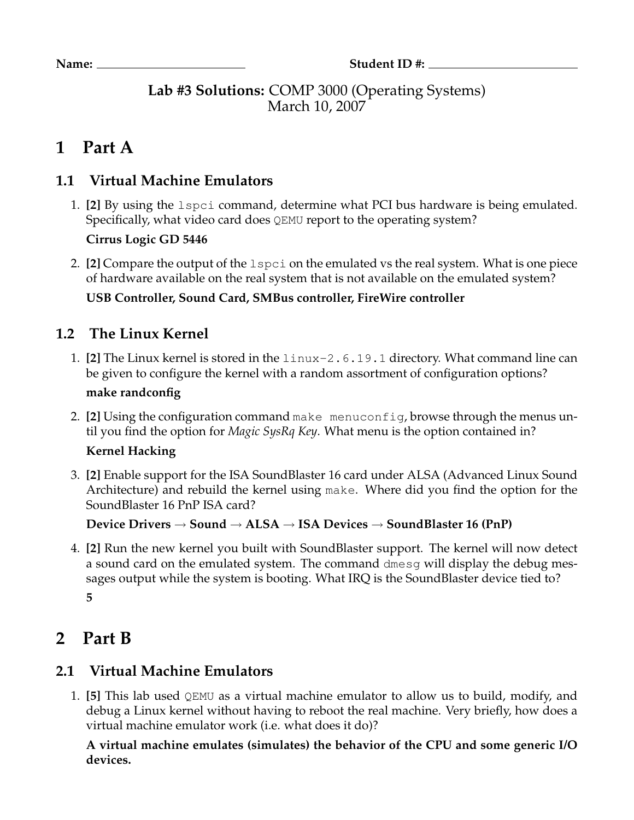**Lab #3 Solutions:** COMP 3000 (Operating Systems) March 10, 2007

# **1 Part A**

## **1.1 Virtual Machine Emulators**

1. **[2]** By using the lspci command, determine what PCI bus hardware is being emulated. Specifically, what video card does QEMU report to the operating system?

**Cirrus Logic GD 5446**

2. **[2]** Compare the output of the lspci on the emulated vs the real system. What is one piece of hardware available on the real system that is not available on the emulated system?

**USB Controller, Sound Card, SMBus controller, FireWire controller**

### **1.2 The Linux Kernel**

1. **[2]** The Linux kernel is stored in the linux-2.6.19.1 directory. What command line can be given to configure the kernel with a random assortment of configuration options?

#### **make randconfig**

2. **[2]** Using the configuration command make menuconfig, browse through the menus until you find the option for *Magic SysRq Key*. What menu is the option contained in?

#### **Kernel Hacking**

3. **[2]** Enable support for the ISA SoundBlaster 16 card under ALSA (Advanced Linux Sound Architecture) and rebuild the kernel using make. Where did you find the option for the SoundBlaster 16 PnP ISA card?

**Device Drivers** → **Sound** → **ALSA** → **ISA Devices** → **SoundBlaster 16 (PnP)**

4. **[2]** Run the new kernel you built with SoundBlaster support. The kernel will now detect a sound card on the emulated system. The command dmesg will display the debug messages output while the system is booting. What IRQ is the SoundBlaster device tied to? **5**

# **2 Part B**

# **2.1 Virtual Machine Emulators**

1. **[5]** This lab used QEMU as a virtual machine emulator to allow us to build, modify, and debug a Linux kernel without having to reboot the real machine. Very briefly, how does a virtual machine emulator work (i.e. what does it do)?

**A virtual machine emulates (simulates) the behavior of the CPU and some generic I/O devices.**